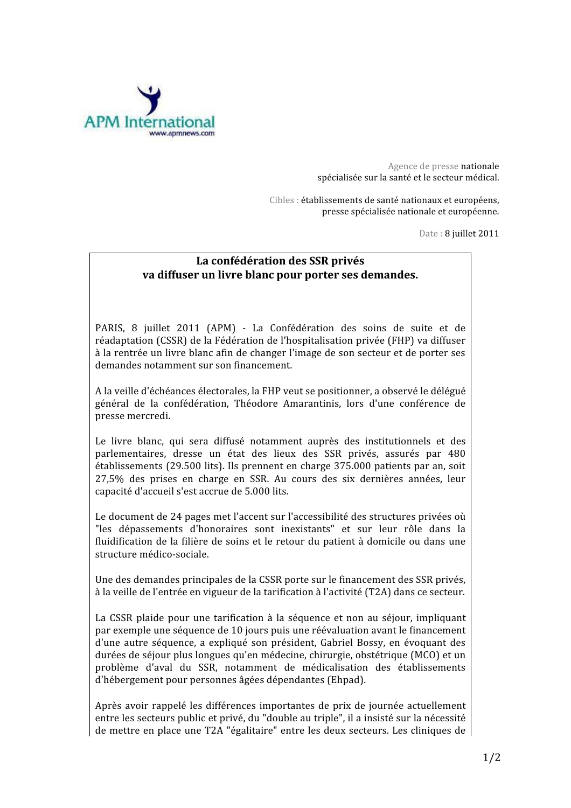

Agence de presse nationale spécialisée sur la santé et le secteur médical.

Cibles : établissements de santé nationaux et euronéens. presse spécialisée nationale et européenne.

Date: 8 juillet 2011

## La confédération des SSR privés va diffuser un livre blanc pour porter ses demandes.

PARIS, 8 juillet 2011 (APM) - La Confédération des soins de suite et de réadaptation (CSSR) de la Fédération de l'hospitalisation privée (FHP) va diffuser à la rentrée un livre blanc afin de changer l'image de son secteur et de porter ses demandes notamment sur son financement.

A la veille d'échéances électorales, la FHP veut se positionner, a observé le délégué général de la confédération, Théodore Amarantinis, lors d'une conférence de presse mercredi.

Le livre blanc, qui sera diffusé notamment auprès des institutionnels et des parlementaires, dresse un état des lieux des SSR privés, assurés par 480 établissements (29.500 lits). Ils prennent en charge 375.000 patients par an, soit 27,5% des prises en charge en SSR. Au cours des six dernières années, leur capacité d'accueil s'est accrue de 5.000 lits.

Le document de 24 pages met l'accent sur l'accessibilité des structures privées où "les dépassements d'honoraires sont inexistants" et sur leur rôle dans la fluidification de la filière de soins et le retour du patient à domicile ou dans une structure médico-sociale.

Une des demandes principales de la CSSR porte sur le financement des SSR privés, à la veille de l'entrée en vigueur de la tarification à l'activité (T2A) dans ce secteur.

La CSSR plaide pour une tarification à la séquence et non au séjour, impliquant par exemple une séquence de 10 jours puis une réévaluation avant le financement d'une autre séquence, a expliqué son président, Gabriel Bossy, en évoquant des durées de séjour plus longues qu'en médecine, chirurgie, obstétrique (MCO) et un problème d'aval du SSR, notamment de médicalisation des établissements d'hébergement pour personnes âgées dépendantes (Ehpad).

Après avoir rappelé les différences importantes de prix de journée actuellement entre les secteurs public et privé, du "double au triple", il a insisté sur la nécessité de mettre en place une T2A "égalitaire" entre les deux secteurs. Les cliniques de